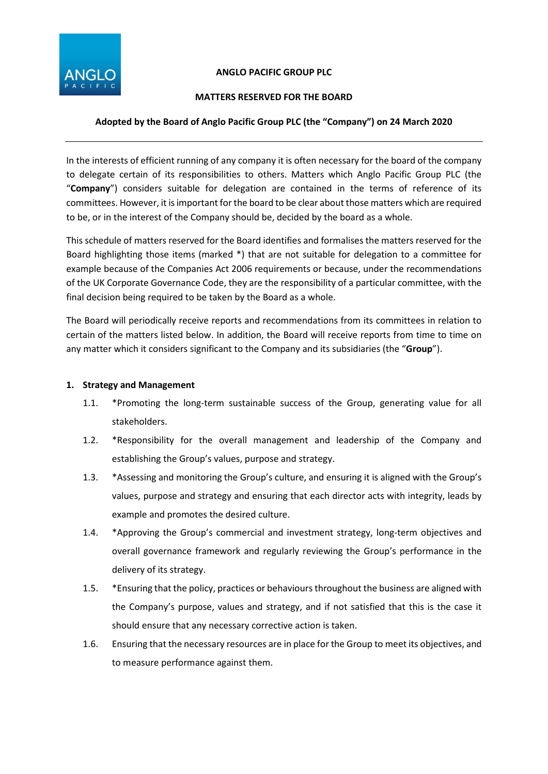

# **ANGLO PACIFIC GROUP PLC**

# **MATTERS RESERVED FOR THE BOARD**

# **Adopted by the Board of Anglo Pacific Group PLC (the "Company") on 24 March 2020**

In the interests of efficient running of any company it is often necessary for the board of the company to delegate certain of its responsibilities to others. Matters which Anglo Pacific Group PLC (the "**Company**") considers suitable for delegation are contained in the terms of reference of its committees. However, it is important for the board to be clear about those matters which are required to be, or in the interest of the Company should be, decided by the board as a whole.

This schedule of matters reserved for the Board identifies and formalises the matters reserved for the Board highlighting those items (marked \*) that are not suitable for delegation to a committee for example because of the Companies Act 2006 requirements or because, under the recommendations of the UK Corporate Governance Code, they are the responsibility of a particular committee, with the final decision being required to be taken by the Board as a whole.

The Board will periodically receive reports and recommendations from its committees in relation to certain of the matters listed below. In addition, the Board will receive reports from time to time on any matter which it considers significant to the Company and its subsidiaries (the "**Group**").

# **1. Strategy and Management**

- 1.1. \*Promoting the long-term sustainable success of the Group, generating value for all stakeholders.
- 1.2. \*Responsibility for the overall management and leadership of the Company and establishing the Group's values, purpose and strategy.
- 1.3. \*Assessing and monitoring the Group's culture, and ensuring it is aligned with the Group's values, purpose and strategy and ensuring that each director acts with integrity, leads by example and promotes the desired culture.
- 1.4. \*Approving the Group's commercial and investment strategy, long-term objectives and overall governance framework and regularly reviewing the Group's performance in the delivery of its strategy.
- 1.5. \*Ensuring that the policy, practices or behaviours throughout the business are aligned with the Company's purpose, values and strategy, and if not satisfied that this is the case it should ensure that any necessary corrective action is taken.
- 1.6. Ensuring that the necessary resources are in place for the Group to meet its objectives, and to measure performance against them.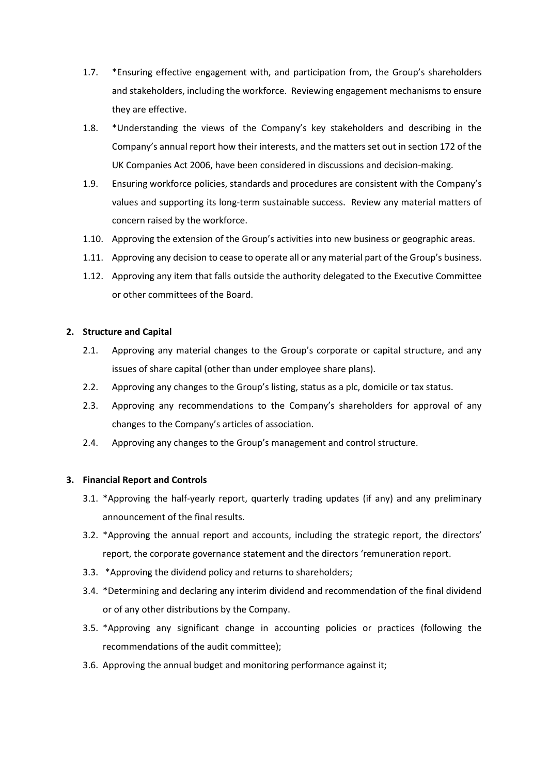- 1.7. \*Ensuring effective engagement with, and participation from, the Group's shareholders and stakeholders, including the workforce. Reviewing engagement mechanisms to ensure they are effective.
- 1.8. \*Understanding the views of the Company's key stakeholders and describing in the Company's annual report how their interests, and the matters set out in section 172 of the UK Companies Act 2006, have been considered in discussions and decision-making.
- 1.9. Ensuring workforce policies, standards and procedures are consistent with the Company's values and supporting its long-term sustainable success. Review any material matters of concern raised by the workforce.
- 1.10. Approving the extension of the Group's activities into new business or geographic areas.
- 1.11. Approving any decision to cease to operate all or any material part of the Group's business.
- 1.12. Approving any item that falls outside the authority delegated to the Executive Committee or other committees of the Board.

#### **2. Structure and Capital**

- 2.1. Approving any material changes to the Group's corporate or capital structure, and any issues of share capital (other than under employee share plans).
- 2.2. Approving any changes to the Group's listing, status as a plc, domicile or tax status.
- 2.3. Approving any recommendations to the Company's shareholders for approval of any changes to the Company's articles of association.
- 2.4. Approving any changes to the Group's management and control structure.

#### **3. Financial Report and Controls**

- 3.1. \*Approving the half-yearly report, quarterly trading updates (if any) and any preliminary announcement of the final results.
- 3.2. \*Approving the annual report and accounts, including the strategic report, the directors' report, the corporate governance statement and the directors 'remuneration report.
- 3.3. \*Approving the dividend policy and returns to shareholders;
- 3.4. \*Determining and declaring any interim dividend and recommendation of the final dividend or of any other distributions by the Company.
- 3.5. \*Approving any significant change in accounting policies or practices (following the recommendations of the audit committee);
- 3.6. Approving the annual budget and monitoring performance against it;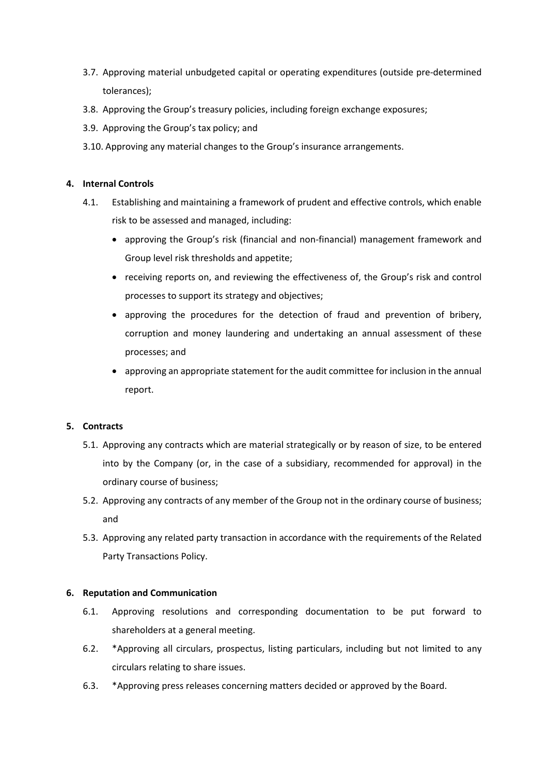- 3.7. Approving material unbudgeted capital or operating expenditures (outside pre-determined tolerances);
- 3.8. Approving the Group's treasury policies, including foreign exchange exposures;
- 3.9. Approving the Group's tax policy; and
- 3.10. Approving any material changes to the Group's insurance arrangements.

# **4. Internal Controls**

- 4.1. Establishing and maintaining a framework of prudent and effective controls, which enable risk to be assessed and managed, including:
	- approving the Group's risk (financial and non-financial) management framework and Group level risk thresholds and appetite;
	- receiving reports on, and reviewing the effectiveness of, the Group's risk and control processes to support its strategy and objectives;
	- approving the procedures for the detection of fraud and prevention of bribery, corruption and money laundering and undertaking an annual assessment of these processes; and
	- approving an appropriate statement for the audit committee for inclusion in the annual report.

## **5. Contracts**

- 5.1. Approving any contracts which are material strategically or by reason of size, to be entered into by the Company (or, in the case of a subsidiary, recommended for approval) in the ordinary course of business;
- 5.2. Approving any contracts of any member of the Group not in the ordinary course of business; and
- 5.3. Approving any related party transaction in accordance with the requirements of the Related Party Transactions Policy.

## **6. Reputation and Communication**

- 6.1. Approving resolutions and corresponding documentation to be put forward to shareholders at a general meeting.
- 6.2. \*Approving all circulars, prospectus, listing particulars, including but not limited to any circulars relating to share issues.
- 6.3. \*Approving press releases concerning matters decided or approved by the Board.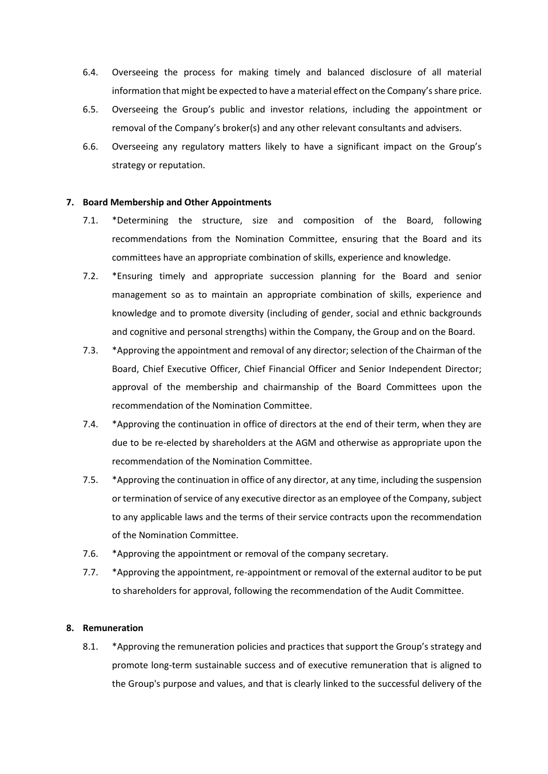- 6.4. Overseeing the process for making timely and balanced disclosure of all material information that might be expected to have a material effect on the Company's share price.
- 6.5. Overseeing the Group's public and investor relations, including the appointment or removal of the Company's broker(s) and any other relevant consultants and advisers.
- 6.6. Overseeing any regulatory matters likely to have a significant impact on the Group's strategy or reputation.

#### **7. Board Membership and Other Appointments**

- 7.1. \*Determining the structure, size and composition of the Board, following recommendations from the Nomination Committee, ensuring that the Board and its committees have an appropriate combination of skills, experience and knowledge.
- 7.2. \*Ensuring timely and appropriate succession planning for the Board and senior management so as to maintain an appropriate combination of skills, experience and knowledge and to promote diversity (including of gender, social and ethnic backgrounds and cognitive and personal strengths) within the Company, the Group and on the Board.
- 7.3. \*Approving the appointment and removal of any director; selection of the Chairman of the Board, Chief Executive Officer, Chief Financial Officer and Senior Independent Director; approval of the membership and chairmanship of the Board Committees upon the recommendation of the Nomination Committee.
- 7.4. \*Approving the continuation in office of directors at the end of their term, when they are due to be re-elected by shareholders at the AGM and otherwise as appropriate upon the recommendation of the Nomination Committee.
- 7.5. \*Approving the continuation in office of any director, at any time, including the suspension or termination of service of any executive director as an employee of the Company, subject to any applicable laws and the terms of their service contracts upon the recommendation of the Nomination Committee.
- 7.6. \*Approving the appointment or removal of the company secretary.
- 7.7. \*Approving the appointment, re-appointment or removal of the external auditor to be put to shareholders for approval, following the recommendation of the Audit Committee.

#### **8. Remuneration**

8.1. \*Approving the remuneration policies and practices that support the Group's strategy and promote long-term sustainable success and of executive remuneration that is aligned to the Group's purpose and values, and that is clearly linked to the successful delivery of the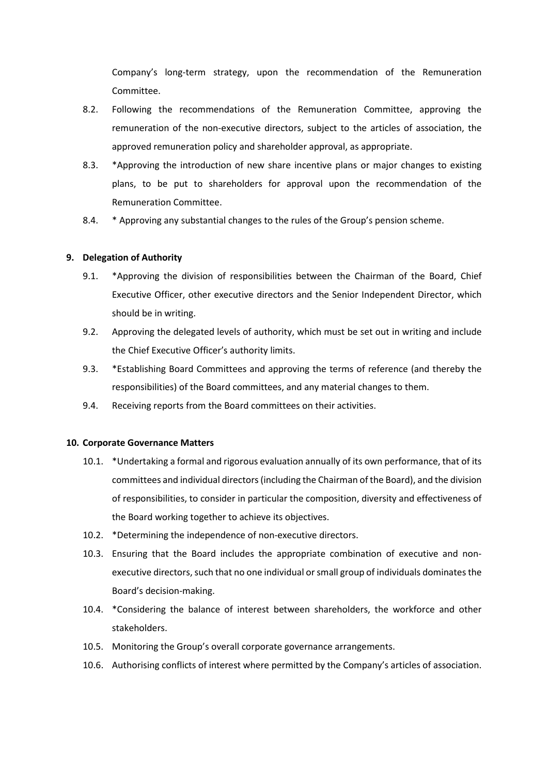Company's long-term strategy, upon the recommendation of the Remuneration Committee.

- 8.2. Following the recommendations of the Remuneration Committee, approving the remuneration of the non-executive directors, subject to the articles of association, the approved remuneration policy and shareholder approval, as appropriate.
- 8.3. \*Approving the introduction of new share incentive plans or major changes to existing plans, to be put to shareholders for approval upon the recommendation of the Remuneration Committee.
- 8.4. \* Approving any substantial changes to the rules of the Group's pension scheme.

## **9. Delegation of Authority**

- 9.1. \*Approving the division of responsibilities between the Chairman of the Board, Chief Executive Officer, other executive directors and the Senior Independent Director, which should be in writing.
- 9.2. Approving the delegated levels of authority, which must be set out in writing and include the Chief Executive Officer's authority limits.
- 9.3. \*Establishing Board Committees and approving the terms of reference (and thereby the responsibilities) of the Board committees, and any material changes to them.
- 9.4. Receiving reports from the Board committees on their activities.

## **10. Corporate Governance Matters**

- 10.1. \*Undertaking a formal and rigorous evaluation annually of its own performance, that of its committees and individual directors (including the Chairman of the Board), and the division of responsibilities, to consider in particular the composition, diversity and effectiveness of the Board working together to achieve its objectives.
- 10.2. \*Determining the independence of non-executive directors.
- 10.3. Ensuring that the Board includes the appropriate combination of executive and nonexecutive directors, such that no one individual or small group of individuals dominates the Board's decision-making.
- 10.4. \*Considering the balance of interest between shareholders, the workforce and other stakeholders.
- 10.5. Monitoring the Group's overall corporate governance arrangements.
- 10.6. Authorising conflicts of interest where permitted by the Company's articles of association.